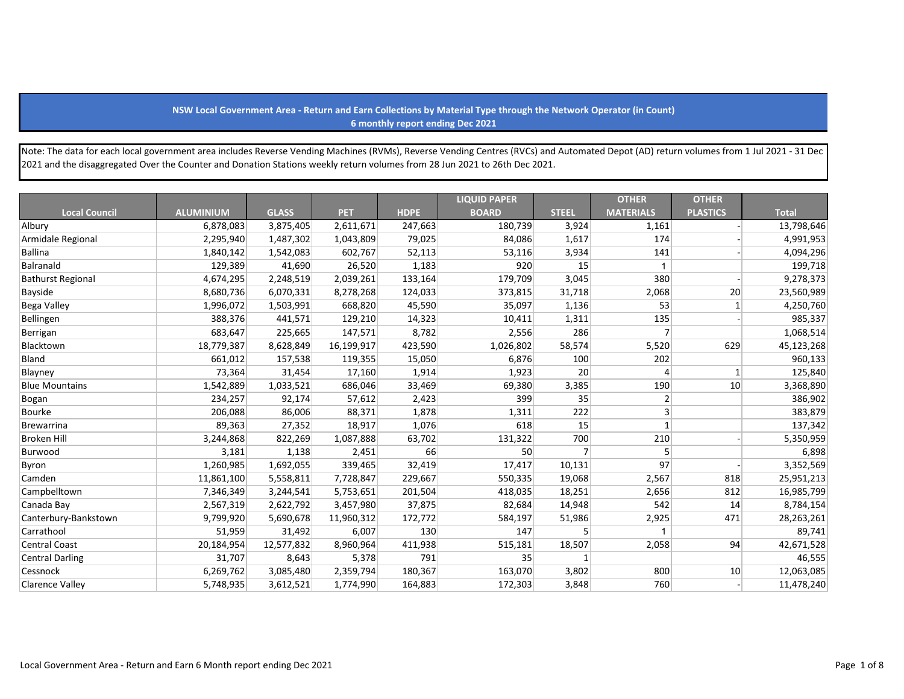## **NSW Local Government Area - Return and Earn Collections by Material Type through the Network Operator (in Count) 6 monthly report ending Dec 2021**

Note: The data for each local government area includes Reverse Vending Machines (RVMs), Reverse Vending Centres (RVCs) and Automated Depot (AD) return volumes from 1 Jul 2021 - 31 Dec 2021 and the disaggregated Over the Counter and Donation Stations weekly return volumes from 28 Jun 2021 to 26th Dec 2021.

|                          |                  |              |            |             | <b>LIQUID PAPER</b> |                | <b>OTHER</b>     | <b>OTHER</b>    |              |
|--------------------------|------------------|--------------|------------|-------------|---------------------|----------------|------------------|-----------------|--------------|
| <b>Local Council</b>     | <b>ALUMINIUM</b> | <b>GLASS</b> | <b>PET</b> | <b>HDPE</b> | <b>BOARD</b>        | <b>STEEL</b>   | <b>MATERIALS</b> | <b>PLASTICS</b> | <b>Total</b> |
| Albury                   | 6,878,083        | 3,875,405    | 2,611,671  | 247,663     | 180,739             | 3,924          | 1,161            |                 | 13,798,646   |
| Armidale Regional        | 2,295,940        | 1,487,302    | 1,043,809  | 79,025      | 84,086              | 1,617          | 174              |                 | 4,991,953    |
| <b>Ballina</b>           | 1,840,142        | 1,542,083    | 602,767    | 52,113      | 53,116              | 3,934          | 141              |                 | 4,094,296    |
| Balranald                | 129,389          | 41,690       | 26,520     | 1,183       | 920                 | 15             |                  |                 | 199,718      |
| <b>Bathurst Regional</b> | 4,674,295        | 2,248,519    | 2,039,261  | 133,164     | 179,709             | 3,045          | 380              |                 | 9,278,373    |
| Bayside                  | 8,680,736        | 6,070,331    | 8,278,268  | 124,033     | 373,815             | 31,718         | 2,068            | 20              | 23,560,989   |
| <b>Bega Valley</b>       | 1,996,072        | 1,503,991    | 668,820    | 45,590      | 35,097              | 1,136          | 53               | $\mathbf{1}$    | 4,250,760    |
| Bellingen                | 388,376          | 441,571      | 129,210    | 14,323      | 10,411              | 1,311          | 135              |                 | 985,337      |
| Berrigan                 | 683,647          | 225,665      | 147,571    | 8,782       | 2,556               | 286            | $\overline{7}$   |                 | 1,068,514    |
| Blacktown                | 18,779,387       | 8,628,849    | 16,199,917 | 423,590     | 1,026,802           | 58,574         | 5,520            | 629             | 45,123,268   |
| Bland                    | 661,012          | 157,538      | 119,355    | 15,050      | 6,876               | 100            | 202              |                 | 960,133      |
| Blayney                  | 73,364           | 31,454       | 17,160     | 1,914       | 1,923               | 20             | $\overline{4}$   | $\mathbf{1}$    | 125,840      |
| <b>Blue Mountains</b>    | 1,542,889        | 1,033,521    | 686,046    | 33,469      | 69,380              | 3,385          | 190              | 10              | 3,368,890    |
| Bogan                    | 234,257          | 92,174       | 57,612     | 2,423       | 399                 | 35             | $\overline{2}$   |                 | 386,902      |
| Bourke                   | 206,088          | 86,006       | 88,371     | 1,878       | 1,311               | 222            | $\overline{3}$   |                 | 383,879      |
| Brewarrina               | 89,363           | 27,352       | 18,917     | 1,076       | 618                 | 15             | $\mathbf{1}$     |                 | 137,342      |
| <b>Broken Hill</b>       | 3,244,868        | 822,269      | 1,087,888  | 63,702      | 131,322             | 700            | 210              |                 | 5,350,959    |
| Burwood                  | 3,181            | 1,138        | 2,451      | 66          | 50                  | $\overline{7}$ | 5                |                 | 6,898        |
| Byron                    | 1,260,985        | 1,692,055    | 339,465    | 32,419      | 17,417              | 10,131         | 97               |                 | 3,352,569    |
| Camden                   | 11,861,100       | 5,558,811    | 7,728,847  | 229,667     | 550,335             | 19,068         | 2,567            | 818             | 25,951,213   |
| Campbelltown             | 7,346,349        | 3,244,541    | 5,753,651  | 201,504     | 418,035             | 18,251         | 2,656            | 812             | 16,985,799   |
| Canada Bay               | 2,567,319        | 2,622,792    | 3,457,980  | 37,875      | 82,684              | 14,948         | 542              | 14              | 8,784,154    |
| Canterbury-Bankstown     | 9,799,920        | 5,690,678    | 11,960,312 | 172,772     | 584,197             | 51,986         | 2,925            | 471             | 28,263,261   |
| Carrathool               | 51,959           | 31,492       | 6,007      | 130         | 147                 | 5              |                  |                 | 89,741       |
| Central Coast            | 20,184,954       | 12,577,832   | 8,960,964  | 411,938     | 515,181             | 18,507         | 2,058            | 94              | 42,671,528   |
| Central Darling          | 31,707           | 8,643        | 5,378      | 791         | 35                  | $\mathbf{1}$   |                  |                 | 46,555       |
| Cessnock                 | 6,269,762        | 3,085,480    | 2,359,794  | 180,367     | 163,070             | 3,802          | 800              | 10 <sup>1</sup> | 12,063,085   |
| <b>Clarence Valley</b>   | 5,748,935        | 3,612,521    | 1,774,990  | 164,883     | 172,303             | 3,848          | 760              |                 | 11,478,240   |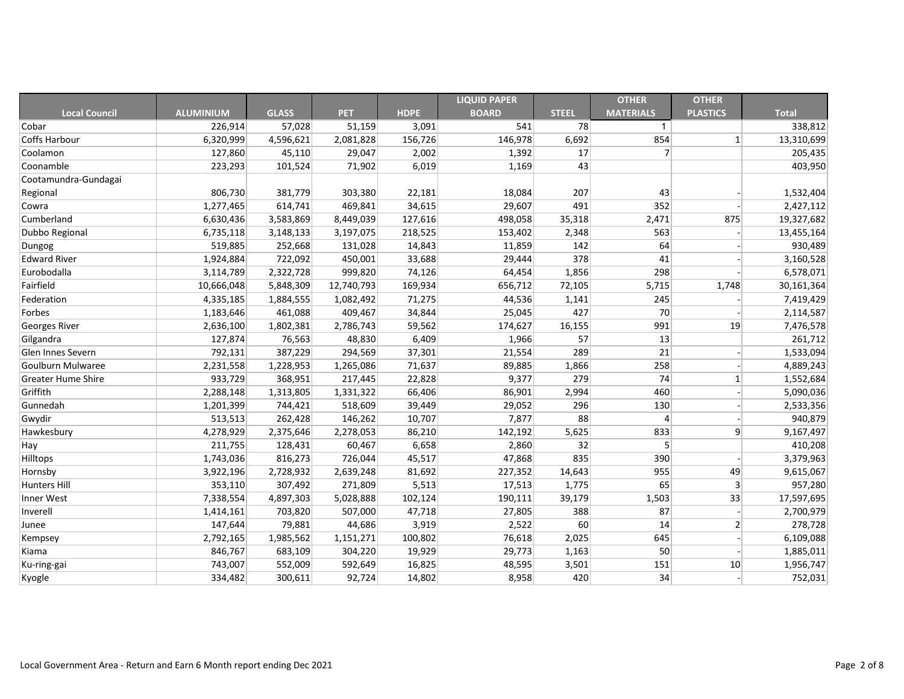|                           |                  |              |            |             | <b>LIQUID PAPER</b> |              | <b>OTHER</b>     | <b>OTHER</b>    |              |
|---------------------------|------------------|--------------|------------|-------------|---------------------|--------------|------------------|-----------------|--------------|
| <b>Local Council</b>      | <b>ALUMINIUM</b> | <b>GLASS</b> | <b>PET</b> | <b>HDPE</b> | <b>BOARD</b>        | <b>STEEL</b> | <b>MATERIALS</b> | <b>PLASTICS</b> | <b>Total</b> |
| Cobar                     | 226,914          | 57,028       | 51,159     | 3,091       | 541                 | 78           | $\mathbf{1}$     |                 | 338,812      |
| <b>Coffs Harbour</b>      | 6,320,999        | 4,596,621    | 2,081,828  | 156,726     | 146,978             | 6,692        | 854              | 1               | 13,310,699   |
| Coolamon                  | 127,860          | 45,110       | 29,047     | 2,002       | 1,392               | 17           | $\overline{7}$   |                 | 205,435      |
| Coonamble                 | 223,293          | 101,524      | 71,902     | 6,019       | 1,169               | 43           |                  |                 | 403,950      |
| Cootamundra-Gundagai      |                  |              |            |             |                     |              |                  |                 |              |
| Regional                  | 806,730          | 381,779      | 303,380    | 22,181      | 18,084              | 207          | 43               |                 | 1,532,404    |
| Cowra                     | 1,277,465        | 614,741      | 469,841    | 34,615      | 29,607              | 491          | 352              |                 | 2,427,112    |
| Cumberland                | 6,630,436        | 3,583,869    | 8,449,039  | 127,616     | 498,058             | 35,318       | 2,471            | 875             | 19,327,682   |
| Dubbo Regional            | 6,735,118        | 3,148,133    | 3,197,075  | 218,525     | 153,402             | 2,348        | 563              |                 | 13,455,164   |
| Dungog                    | 519,885          | 252,668      | 131,028    | 14,843      | 11,859              | 142          | 64               |                 | 930,489      |
| <b>Edward River</b>       | 1,924,884        | 722,092      | 450,001    | 33,688      | 29,444              | 378          | 41               |                 | 3,160,528    |
| Eurobodalla               | 3,114,789        | 2,322,728    | 999,820    | 74,126      | 64,454              | 1,856        | 298              |                 | 6,578,071    |
| Fairfield                 | 10,666,048       | 5,848,309    | 12,740,793 | 169,934     | 656,712             | 72,105       | 5,715            | 1,748           | 30,161,364   |
| Federation                | 4,335,185        | 1,884,555    | 1,082,492  | 71,275      | 44,536              | 1,141        | 245              |                 | 7,419,429    |
| Forbes                    | 1,183,646        | 461,088      | 409,467    | 34,844      | 25,045              | 427          | 70               |                 | 2,114,587    |
| <b>Georges River</b>      | 2,636,100        | 1,802,381    | 2,786,743  | 59,562      | 174,627             | 16,155       | 991              | 19              | 7,476,578    |
| Gilgandra                 | 127,874          | 76,563       | 48,830     | 6,409       | 1,966               | 57           | 13               |                 | 261,712      |
| Glen Innes Severn         | 792,131          | 387,229      | 294,569    | 37,301      | 21,554              | 289          | 21               |                 | 1,533,094    |
| Goulburn Mulwaree         | 2,231,558        | 1,228,953    | 1,265,086  | 71,637      | 89,885              | 1,866        | 258              |                 | 4,889,243    |
| <b>Greater Hume Shire</b> | 933,729          | 368,951      | 217,445    | 22,828      | 9,377               | 279          | 74               |                 | 1,552,684    |
| Griffith                  | 2,288,148        | 1,313,805    | 1,331,322  | 66,406      | 86,901              | 2,994        | 460              |                 | 5,090,036    |
| Gunnedah                  | 1,201,399        | 744,421      | 518,609    | 39,449      | 29,052              | 296          | 130              |                 | 2,533,356    |
| Gwydir                    | 513,513          | 262,428      | 146,262    | 10,707      | 7,877               | 88           | 4                |                 | 940,879      |
| Hawkesbury                | 4,278,929        | 2,375,646    | 2,278,053  | 86,210      | 142,192             | 5,625        | 833              | 9               | 9,167,497    |
| Hay                       | 211,755          | 128,431      | 60,467     | 6,658       | 2,860               | 32           | 5                |                 | 410,208      |
| Hilltops                  | 1,743,036        | 816,273      | 726,044    | 45,517      | 47,868              | 835          | 390              |                 | 3,379,963    |
| Hornsby                   | 3,922,196        | 2,728,932    | 2,639,248  | 81,692      | 227,352             | 14,643       | 955              | 49              | 9,615,067    |
| <b>Hunters Hill</b>       | 353,110          | 307,492      | 271,809    | 5,513       | 17,513              | 1,775        | 65               | $\mathbf{3}$    | 957,280      |
| Inner West                | 7,338,554        | 4,897,303    | 5,028,888  | 102,124     | 190,111             | 39,179       | 1,503            | 33              | 17,597,695   |
| Inverell                  | 1,414,161        | 703,820      | 507,000    | 47,718      | 27,805              | 388          | 87               |                 | 2,700,979    |
| Junee                     | 147,644          | 79,881       | 44,686     | 3,919       | 2,522               | 60           | 14               | $\mathbf{2}$    | 278,728      |
| Kempsey                   | 2,792,165        | 1,985,562    | 1,151,271  | 100,802     | 76,618              | 2,025        | 645              |                 | 6,109,088    |
| Kiama                     | 846,767          | 683,109      | 304,220    | 19,929      | 29,773              | 1,163        | 50               |                 | 1,885,011    |
| Ku-ring-gai               | 743,007          | 552,009      | 592,649    | 16,825      | 48,595              | 3,501        | 151              | 10              | 1,956,747    |
| Kyogle                    | 334,482          | 300,611      | 92,724     | 14,802      | 8,958               | 420          | 34               |                 | 752,031      |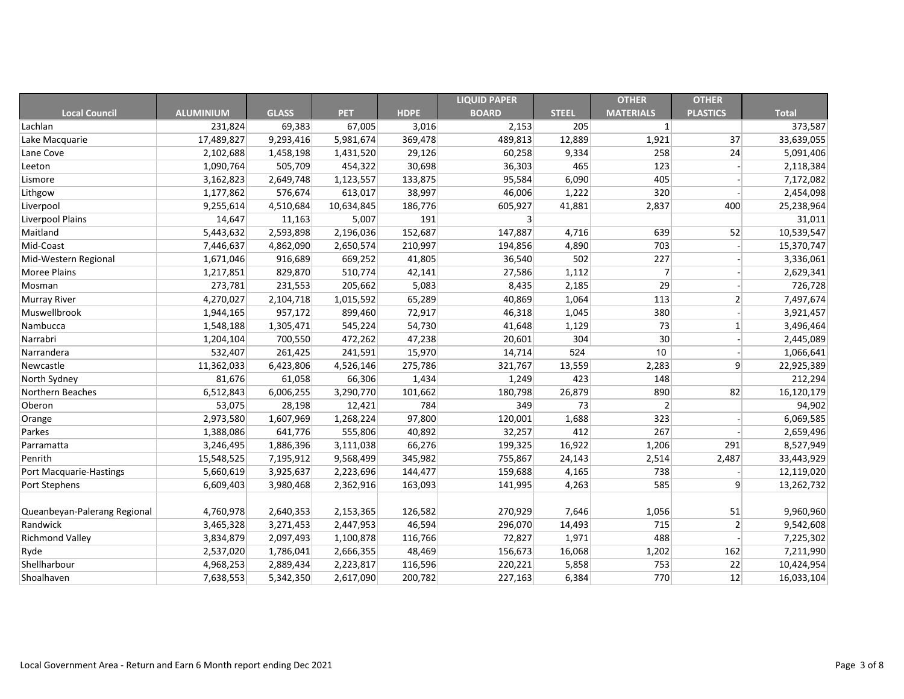|                              |                  |              |            |             | <b>LIQUID PAPER</b> |              | <b>OTHER</b>     | <b>OTHER</b>    |              |
|------------------------------|------------------|--------------|------------|-------------|---------------------|--------------|------------------|-----------------|--------------|
| <b>Local Council</b>         | <b>ALUMINIUM</b> | <b>GLASS</b> | <b>PET</b> | <b>HDPE</b> | <b>BOARD</b>        | <b>STEEL</b> | <b>MATERIALS</b> | <b>PLASTICS</b> | <b>Total</b> |
| Lachlan                      | 231,824          | 69,383       | 67,005     | 3,016       | 2,153               | 205          | $\mathbf{1}$     |                 | 373,587      |
| Lake Macquarie               | 17,489,827       | 9,293,416    | 5,981,674  | 369,478     | 489,813             | 12,889       | 1,921            | 37              | 33,639,055   |
| Lane Cove                    | 2,102,688        | 1,458,198    | 1,431,520  | 29,126      | 60,258              | 9,334        | 258              | 24              | 5,091,406    |
| Leeton                       | 1,090,764        | 505,709      | 454,322    | 30,698      | 36,303              | 465          | 123              |                 | 2,118,384    |
| Lismore                      | 3,162,823        | 2,649,748    | 1,123,557  | 133,875     | 95,584              | 6,090        | 405              |                 | 7,172,082    |
| Lithgow                      | 1,177,862        | 576,674      | 613,017    | 38,997      | 46,006              | 1,222        | 320              |                 | 2,454,098    |
| Liverpool                    | 9,255,614        | 4,510,684    | 10,634,845 | 186,776     | 605,927             | 41,881       | 2,837            | 400             | 25,238,964   |
| Liverpool Plains             | 14,647           | 11,163       | 5,007      | 191         | 3 <sup>1</sup>      |              |                  |                 | 31,011       |
| Maitland                     | 5,443,632        | 2,593,898    | 2,196,036  | 152,687     | 147,887             | 4,716        | 639              | 52              | 10,539,547   |
| Mid-Coast                    | 7,446,637        | 4,862,090    | 2,650,574  | 210,997     | 194,856             | 4,890        | 703              |                 | 15,370,747   |
| Mid-Western Regional         | 1,671,046        | 916,689      | 669,252    | 41,805      | 36,540              | 502          | 227              |                 | 3,336,061    |
| <b>Moree Plains</b>          | 1,217,851        | 829,870      | 510,774    | 42,141      | 27,586              | 1,112        | $\overline{7}$   |                 | 2,629,341    |
| Mosman                       | 273,781          | 231,553      | 205,662    | 5,083       | 8,435               | 2,185        | 29               |                 | 726,728      |
| <b>Murray River</b>          | 4,270,027        | 2,104,718    | 1,015,592  | 65,289      | 40,869              | 1,064        | 113              | $\overline{2}$  | 7,497,674    |
| Muswellbrook                 | 1,944,165        | 957,172      | 899,460    | 72,917      | 46,318              | 1,045        | 380              |                 | 3,921,457    |
| Nambucca                     | 1,548,188        | 1,305,471    | 545,224    | 54,730      | 41,648              | 1,129        | 73               |                 | 3,496,464    |
| Narrabri                     | 1,204,104        | 700,550      | 472,262    | 47,238      | 20,601              | 304          | 30               |                 | 2,445,089    |
| Narrandera                   | 532,407          | 261,425      | 241,591    | 15,970      | 14,714              | 524          | 10               |                 | 1,066,641    |
| Newcastle                    | 11,362,033       | 6,423,806    | 4,526,146  | 275,786     | 321,767             | 13,559       | 2,283            | 9               | 22,925,389   |
| North Sydney                 | 81,676           | 61,058       | 66,306     | 1,434       | 1,249               | 423          | 148              |                 | 212,294      |
| Northern Beaches             | 6,512,843        | 6,006,255    | 3,290,770  | 101,662     | 180,798             | 26,879       | 890              | 82              | 16,120,179   |
| Oberon                       | 53,075           | 28,198       | 12,421     | 784         | 349                 | 73           | $\vert$ 2        |                 | 94,902       |
| Orange                       | 2,973,580        | 1,607,969    | 1,268,224  | 97,800      | 120,001             | 1,688        | 323              |                 | 6,069,585    |
| Parkes                       | 1,388,086        | 641,776      | 555,806    | 40,892      | 32,257              | 412          | 267              |                 | 2,659,496    |
| Parramatta                   | 3,246,495        | 1,886,396    | 3,111,038  | 66,276      | 199,325             | 16,922       | 1,206            | 291             | 8,527,949    |
| Penrith                      | 15,548,525       | 7,195,912    | 9,568,499  | 345,982     | 755,867             | 24,143       | 2,514            | 2,487           | 33,443,929   |
| Port Macquarie-Hastings      | 5,660,619        | 3,925,637    | 2,223,696  | 144,477     | 159,688             | 4,165        | 738              |                 | 12,119,020   |
| Port Stephens                | 6,609,403        | 3,980,468    | 2,362,916  | 163,093     | 141,995             | 4,263        | 585              | 9               | 13,262,732   |
|                              |                  |              |            |             |                     |              |                  |                 |              |
| Queanbeyan-Palerang Regional | 4,760,978        | 2,640,353    | 2,153,365  | 126,582     | 270,929             | 7,646        | 1,056            | 51              | 9,960,960    |
| Randwick                     | 3,465,328        | 3,271,453    | 2,447,953  | 46,594      | 296,070             | 14,493       | 715              | $\overline{2}$  | 9,542,608    |
| <b>Richmond Valley</b>       | 3,834,879        | 2,097,493    | 1,100,878  | 116,766     | 72,827              | 1,971        | 488              |                 | 7,225,302    |
| Ryde                         | 2,537,020        | 1,786,041    | 2,666,355  | 48,469      | 156,673             | 16,068       | 1,202            | 162             | 7,211,990    |
| Shellharbour                 | 4,968,253        | 2,889,434    | 2,223,817  | 116,596     | 220,221             | 5,858        | 753              | 22              | 10,424,954   |
| Shoalhaven                   | 7,638,553        | 5,342,350    | 2,617,090  | 200,782     | 227,163             | 6,384        | 770              | 12              | 16,033,104   |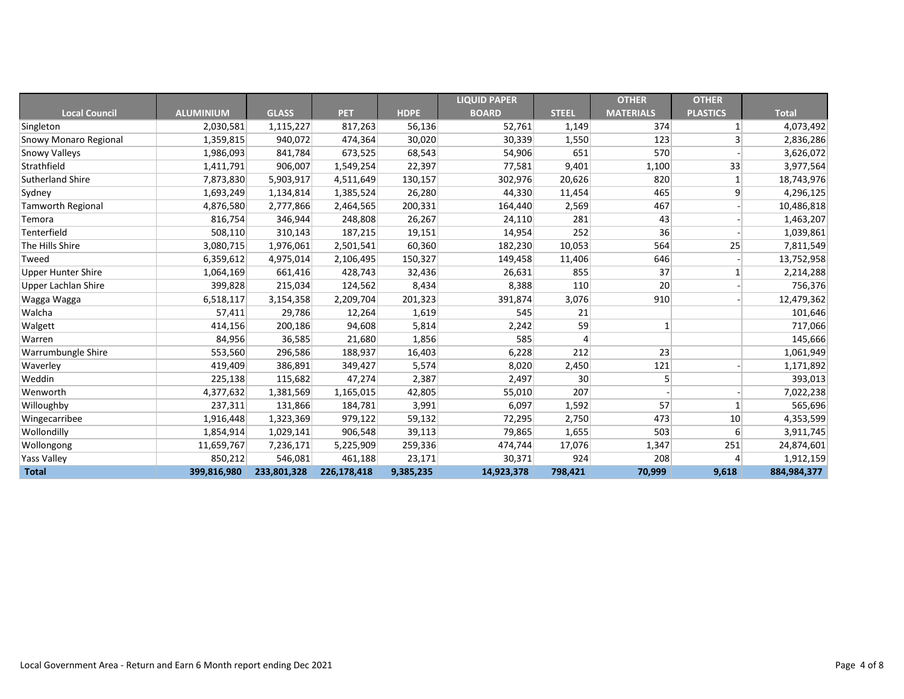|                              |                  |              |             |             | <b>LIQUID PAPER</b> |              | <b>OTHER</b>     | <b>OTHER</b>     |              |
|------------------------------|------------------|--------------|-------------|-------------|---------------------|--------------|------------------|------------------|--------------|
| <b>Local Council</b>         | <b>ALUMINIUM</b> | <b>GLASS</b> | <b>PET</b>  | <b>HDPE</b> | <b>BOARD</b>        | <b>STEEL</b> | <b>MATERIALS</b> | <b>PLASTICS</b>  | <b>Total</b> |
| Singleton                    | 2,030,581        | 1,115,227    | 817,263     | 56,136      | 52,761              | 1,149        | 374              |                  | 4,073,492    |
| <b>Snowy Monaro Regional</b> | 1,359,815        | 940,072      | 474,364     | 30,020      | 30,339              | 1,550        | 123              | 3                | 2,836,286    |
| <b>Snowy Valleys</b>         | 1,986,093        | 841,784      | 673,525     | 68,543      | 54,906              | 651          | 570              |                  | 3,626,072    |
| Strathfield                  | 1,411,791        | 906,007      | 1,549,254   | 22,397      | 77,581              | 9,401        | 1,100            | 33               | 3,977,564    |
| <b>Sutherland Shire</b>      | 7,873,830        | 5,903,917    | 4,511,649   | 130,157     | 302,976             | 20,626       | 820              | $\mathbf{1}$     | 18,743,976   |
| Sydney                       | 1,693,249        | 1,134,814    | 1,385,524   | 26,280      | 44,330              | 11,454       | 465              | 9                | 4,296,125    |
| <b>Tamworth Regional</b>     | 4,876,580        | 2,777,866    | 2,464,565   | 200,331     | 164,440             | 2,569        | 467              |                  | 10,486,818   |
| Temora                       | 816,754          | 346,944      | 248,808     | 26,267      | 24,110              | 281          | 43               |                  | 1,463,207    |
| Tenterfield                  | 508,110          | 310,143      | 187,215     | 19,151      | 14,954              | 252          | 36               |                  | 1,039,861    |
| The Hills Shire              | 3,080,715        | 1,976,061    | 2,501,541   | 60,360      | 182,230             | 10,053       | 564              | 25               | 7,811,549    |
| Tweed                        | 6,359,612        | 4,975,014    | 2,106,495   | 150,327     | 149,458             | 11,406       | 646              |                  | 13,752,958   |
| <b>Upper Hunter Shire</b>    | 1,064,169        | 661,416      | 428,743     | 32,436      | 26,631              | 855          | 37               |                  | 2,214,288    |
| <b>Upper Lachlan Shire</b>   | 399,828          | 215,034      | 124,562     | 8,434       | 8,388               | 110          | 20               |                  | 756,376      |
| Wagga Wagga                  | 6,518,117        | 3,154,358    | 2,209,704   | 201,323     | 391,874             | 3,076        | 910              |                  | 12,479,362   |
| Walcha                       | 57,411           | 29,786       | 12,264      | 1,619       | 545                 | 21           |                  |                  | 101,646      |
| Walgett                      | 414,156          | 200,186      | 94,608      | 5,814       | 2,242               | 59           | $\mathbf{1}$     |                  | 717,066      |
| Warren                       | 84,956           | 36,585       | 21,680      | 1,856       | 585                 | 4            |                  |                  | 145,666      |
| Warrumbungle Shire           | 553,560          | 296,586      | 188,937     | 16,403      | 6,228               | 212          | 23               |                  | 1,061,949    |
| Waverley                     | 419,409          | 386,891      | 349,427     | 5,574       | 8,020               | 2,450        | 121              |                  | 1,171,892    |
| Weddin                       | 225,138          | 115,682      | 47,274      | 2,387       | 2,497               | 30           | 5                |                  | 393,013      |
| Wenworth                     | 4,377,632        | 1,381,569    | 1,165,015   | 42,805      | 55,010              | 207          |                  |                  | 7,022,238    |
| Willoughby                   | 237,311          | 131,866      | 184,781     | 3,991       | 6,097               | 1,592        | 57               |                  | 565,696      |
| Wingecarribee                | 1,916,448        | 1,323,369    | 979,122     | 59,132      | 72,295              | 2,750        | 473              | 10               | 4,353,599    |
| Wollondilly                  | 1,854,914        | 1,029,141    | 906,548     | 39,113      | 79,865              | 1,655        | 503              | $6 \overline{6}$ | 3,911,745    |
| Wollongong                   | 11,659,767       | 7,236,171    | 5,225,909   | 259,336     | 474,744             | 17,076       | 1,347            | 251              | 24,874,601   |
| <b>Yass Valley</b>           | 850,212          | 546,081      | 461,188     | 23,171      | 30,371              | 924          | 208              | 4                | 1,912,159    |
| <b>Total</b>                 | 399,816,980      | 233,801,328  | 226,178,418 | 9,385,235   | 14,923,378          | 798,421      | 70,999           | 9,618            | 884,984,377  |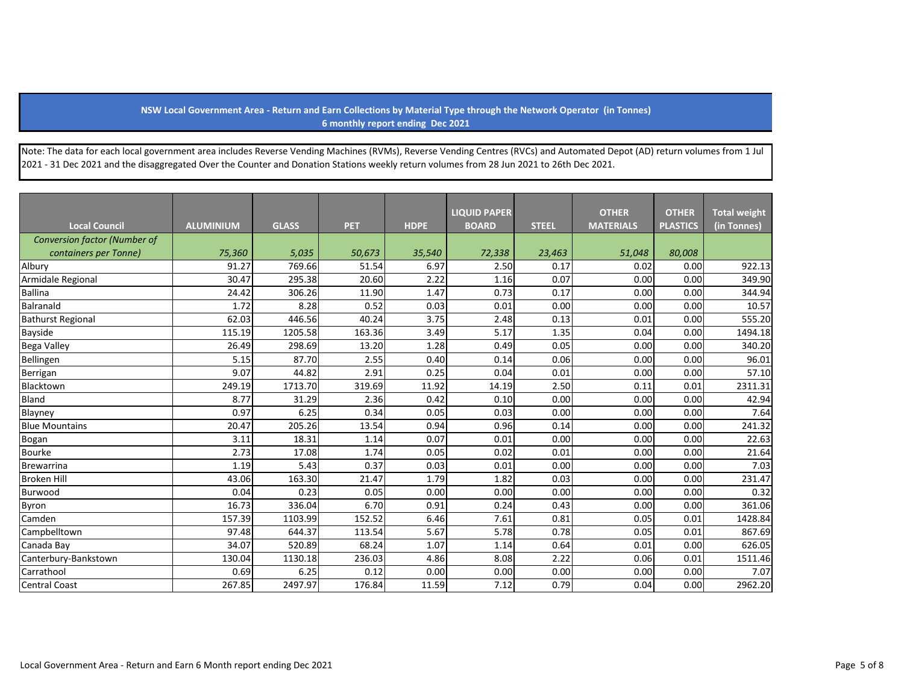## **NSW Local Government Area - Return and Earn Collections by Material Type through the Network Operator (in Tonnes) 6 monthly report ending Dec 2021**

Note: The data for each local government area includes Reverse Vending Machines (RVMs), Reverse Vending Centres (RVCs) and Automated Depot (AD) return volumes from 1 Jul 2021 - 31 Dec 2021 and the disaggregated Over the Counter and Donation Stations weekly return volumes from 28 Jun 2021 to 26th Dec 2021.

|                              |                  |              |            |             | <b>LIQUID PAPER</b> |              | <b>OTHER</b>     | <b>OTHER</b>    | <b>Total weight</b> |
|------------------------------|------------------|--------------|------------|-------------|---------------------|--------------|------------------|-----------------|---------------------|
| <b>Local Council</b>         | <b>ALUMINIUM</b> | <b>GLASS</b> | <b>PET</b> | <b>HDPE</b> | <b>BOARD</b>        | <b>STEEL</b> | <b>MATERIALS</b> | <b>PLASTICS</b> | (in Tonnes)         |
| Conversion factor (Number of |                  |              |            |             |                     |              |                  |                 |                     |
| containers per Tonne)        | 75,360           | 5,035        | 50,673     | 35,540      | 72,338              | 23,463       | 51,048           | 80,008          |                     |
| Albury                       | 91.27            | 769.66       | 51.54      | 6.97        | 2.50                | 0.17         | 0.02             | 0.00            | 922.13              |
| Armidale Regional            | 30.47            | 295.38       | 20.60      | 2.22        | 1.16                | 0.07         | 0.00             | 0.00            | 349.90              |
| <b>Ballina</b>               | 24.42            | 306.26       | 11.90      | 1.47        | 0.73                | 0.17         | 0.00             | 0.00            | 344.94              |
| <b>Balranald</b>             | 1.72             | 8.28         | 0.52       | 0.03        | 0.01                | 0.00         | 0.00             | 0.00            | 10.57               |
| <b>Bathurst Regional</b>     | 62.03            | 446.56       | 40.24      | 3.75        | 2.48                | 0.13         | 0.01             | 0.00            | 555.20              |
| <b>Bayside</b>               | 115.19           | 1205.58      | 163.36     | 3.49        | 5.17                | 1.35         | 0.04             | 0.00            | 1494.18             |
| <b>Bega Valley</b>           | 26.49            | 298.69       | 13.20      | 1.28        | 0.49                | 0.05         | 0.00             | 0.00            | 340.20              |
| Bellingen                    | 5.15             | 87.70        | 2.55       | 0.40        | 0.14                | 0.06         | 0.00             | 0.00            | 96.01               |
| Berrigan                     | 9.07             | 44.82        | 2.91       | 0.25        | 0.04                | 0.01         | 0.00             | 0.00            | 57.10               |
| Blacktown                    | 249.19           | 1713.70      | 319.69     | 11.92       | 14.19               | 2.50         | 0.11             | 0.01            | 2311.31             |
| Bland                        | 8.77             | 31.29        | 2.36       | 0.42        | 0.10                | 0.00         | 0.00             | 0.00            | 42.94               |
| Blayney                      | 0.97             | 6.25         | 0.34       | 0.05        | 0.03                | 0.00         | 0.00             | 0.00            | 7.64                |
| <b>Blue Mountains</b>        | 20.47            | 205.26       | 13.54      | 0.94        | 0.96                | 0.14         | 0.00             | 0.00            | 241.32              |
| Bogan                        | 3.11             | 18.31        | 1.14       | 0.07        | 0.01                | 0.00         | 0.00             | 0.00            | 22.63               |
| <b>Bourke</b>                | 2.73             | 17.08        | 1.74       | 0.05        | 0.02                | 0.01         | 0.00             | 0.00            | 21.64               |
| Brewarrina                   | 1.19             | 5.43         | 0.37       | 0.03        | 0.01                | 0.00         | 0.00             | 0.00            | 7.03                |
| <b>Broken Hill</b>           | 43.06            | 163.30       | 21.47      | 1.79        | 1.82                | 0.03         | 0.00             | 0.00            | 231.47              |
| Burwood                      | 0.04             | 0.23         | 0.05       | 0.00        | 0.00                | 0.00         | 0.00             | 0.00            | 0.32                |
| <b>Byron</b>                 | 16.73            | 336.04       | 6.70       | 0.91        | 0.24                | 0.43         | 0.00             | 0.00            | 361.06              |
| Camden                       | 157.39           | 1103.99      | 152.52     | 6.46        | 7.61                | 0.81         | 0.05             | 0.01            | 1428.84             |
| Campbelltown                 | 97.48            | 644.37       | 113.54     | 5.67        | 5.78                | 0.78         | 0.05             | 0.01            | 867.69              |
| Canada Bay                   | 34.07            | 520.89       | 68.24      | 1.07        | 1.14                | 0.64         | 0.01             | 0.00            | 626.05              |
| Canterbury-Bankstown         | 130.04           | 1130.18      | 236.03     | 4.86        | 8.08                | 2.22         | 0.06             | 0.01            | 1511.46             |
| Carrathool                   | 0.69             | 6.25         | 0.12       | 0.00        | 0.00                | 0.00         | 0.00             | 0.00            | 7.07                |
| <b>Central Coast</b>         | 267.85           | 2497.97      | 176.84     | 11.59       | 7.12                | 0.79         | 0.04             | 0.00            | 2962.20             |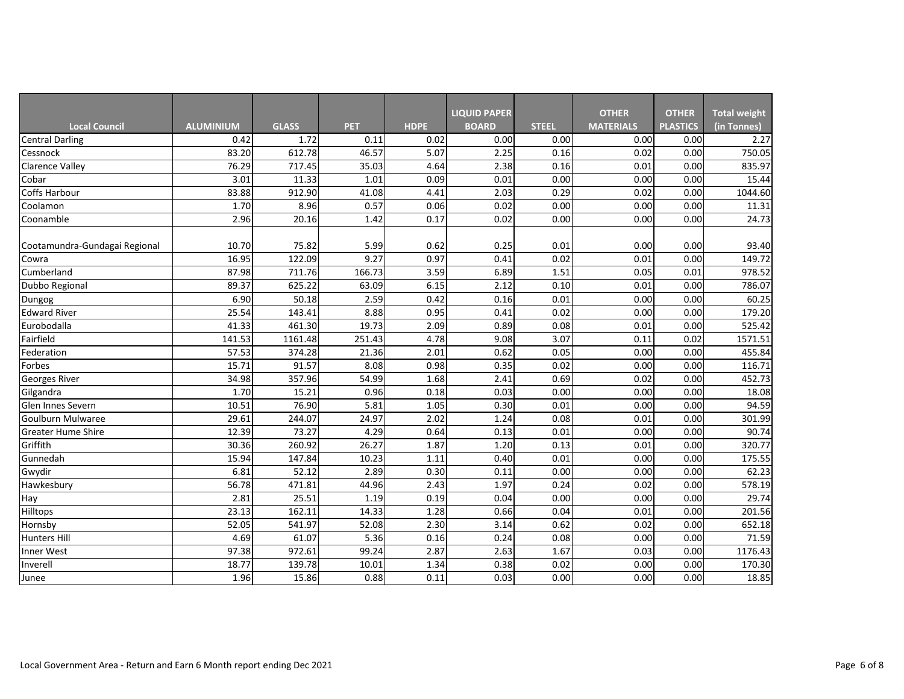|                               |                  |              |            |             | <b>LIQUID PAPER</b> |              | <b>OTHER</b>     | <b>OTHER</b>    | <b>Total weight</b> |
|-------------------------------|------------------|--------------|------------|-------------|---------------------|--------------|------------------|-----------------|---------------------|
| <b>Local Council</b>          | <b>ALUMINIUM</b> | <b>GLASS</b> | <b>PET</b> | <b>HDPE</b> | <b>BOARD</b>        | <b>STEEL</b> | <b>MATERIALS</b> | <b>PLASTICS</b> | (in Tonnes)         |
| <b>Central Darling</b>        | 0.42             | 1.72         | 0.11       | 0.02        | 0.00                | 0.00         | 0.00             | 0.00            | 2.27                |
| Cessnock                      | 83.20            | 612.78       | 46.57      | 5.07        | 2.25                | 0.16         | 0.02             | 0.00            | 750.05              |
| <b>Clarence Valley</b>        | 76.29            | 717.45       | 35.03      | 4.64        | 2.38                | 0.16         | 0.01             | 0.00            | 835.97              |
| Cobar                         | 3.01             | 11.33        | 1.01       | 0.09        | 0.01                | 0.00         | 0.00             | 0.00            | 15.44               |
| <b>Coffs Harbour</b>          | 83.88            | 912.90       | 41.08      | 4.41        | 2.03                | 0.29         | 0.02             | 0.00            | 1044.60             |
| Coolamon                      | 1.70             | 8.96         | 0.57       | 0.06        | 0.02                | 0.00         | 0.00             | 0.00            | 11.31               |
| Coonamble                     | 2.96             | 20.16        | 1.42       | 0.17        | 0.02                | 0.00         | 0.00             | 0.00            | 24.73               |
|                               |                  |              |            |             |                     |              |                  |                 |                     |
| Cootamundra-Gundagai Regional | 10.70            | 75.82        | 5.99       | 0.62        | 0.25                | 0.01         | 0.00             | 0.00            | 93.40               |
| Cowra                         | 16.95            | 122.09       | 9.27       | 0.97        | 0.41                | 0.02         | 0.01             | 0.00            | 149.72              |
| Cumberland                    | 87.98            | 711.76       | 166.73     | 3.59        | 6.89                | 1.51         | 0.05             | 0.01            | 978.52              |
| Dubbo Regional                | 89.37            | 625.22       | 63.09      | 6.15        | 2.12                | 0.10         | 0.01             | 0.00            | 786.07              |
| Dungog                        | 6.90             | 50.18        | 2.59       | 0.42        | 0.16                | 0.01         | 0.00             | 0.00            | 60.25               |
| <b>Edward River</b>           | 25.54            | 143.41       | 8.88       | 0.95        | 0.41                | 0.02         | 0.00             | 0.00            | 179.20              |
| Eurobodalla                   | 41.33            | 461.30       | 19.73      | 2.09        | 0.89                | 0.08         | 0.01             | 0.00            | 525.42              |
| Fairfield                     | 141.53           | 1161.48      | 251.43     | 4.78        | 9.08                | 3.07         | 0.11             | 0.02            | 1571.51             |
| Federation                    | 57.53            | 374.28       | 21.36      | 2.01        | 0.62                | 0.05         | 0.00             | 0.00            | 455.84              |
| Forbes                        | 15.71            | 91.57        | 8.08       | 0.98        | 0.35                | 0.02         | 0.00             | 0.00            | 116.71              |
| <b>Georges River</b>          | 34.98            | 357.96       | 54.99      | 1.68        | 2.41                | 0.69         | 0.02             | 0.00            | 452.73              |
| Gilgandra                     | 1.70             | 15.21        | 0.96       | 0.18        | 0.03                | 0.00         | 0.00             | 0.00            | 18.08               |
| Glen Innes Severn             | 10.51            | 76.90        | 5.81       | 1.05        | 0.30                | 0.01         | 0.00             | 0.00            | 94.59               |
| <b>Goulburn Mulwaree</b>      | 29.61            | 244.07       | 24.97      | 2.02        | 1.24                | 0.08         | 0.01             | 0.00            | 301.99              |
| <b>Greater Hume Shire</b>     | 12.39            | 73.27        | 4.29       | 0.64        | 0.13                | 0.01         | 0.00             | 0.00            | 90.74               |
| Griffith                      | 30.36            | 260.92       | 26.27      | 1.87        | 1.20                | 0.13         | 0.01             | 0.00            | 320.77              |
| Gunnedah                      | 15.94            | 147.84       | 10.23      | 1.11        | 0.40                | 0.01         | 0.00             | 0.00            | 175.55              |
| Gwydir                        | 6.81             | 52.12        | 2.89       | 0.30        | 0.11                | 0.00         | 0.00             | 0.00            | 62.23               |
| Hawkesbury                    | 56.78            | 471.81       | 44.96      | 2.43        | 1.97                | 0.24         | 0.02             | 0.00            | 578.19              |
| Hay                           | 2.81             | 25.51        | 1.19       | 0.19        | 0.04                | 0.00         | 0.00             | 0.00            | 29.74               |
| Hilltops                      | 23.13            | 162.11       | 14.33      | 1.28        | 0.66                | 0.04         | 0.01             | 0.00            | 201.56              |
| Hornsby                       | 52.05            | 541.97       | 52.08      | 2.30        | 3.14                | 0.62         | 0.02             | 0.00            | 652.18              |
| Hunters Hill                  | 4.69             | 61.07        | 5.36       | 0.16        | 0.24                | 0.08         | 0.00             | 0.00            | 71.59               |
| Inner West                    | 97.38            | 972.61       | 99.24      | 2.87        | 2.63                | 1.67         | 0.03             | 0.00            | 1176.43             |
| Inverell                      | 18.77            | 139.78       | 10.01      | 1.34        | 0.38                | 0.02         | 0.00             | 0.00            | 170.30              |
| Junee                         | 1.96             | 15.86        | 0.88       | 0.11        | 0.03                | 0.00         | 0.00             | 0.00            | 18.85               |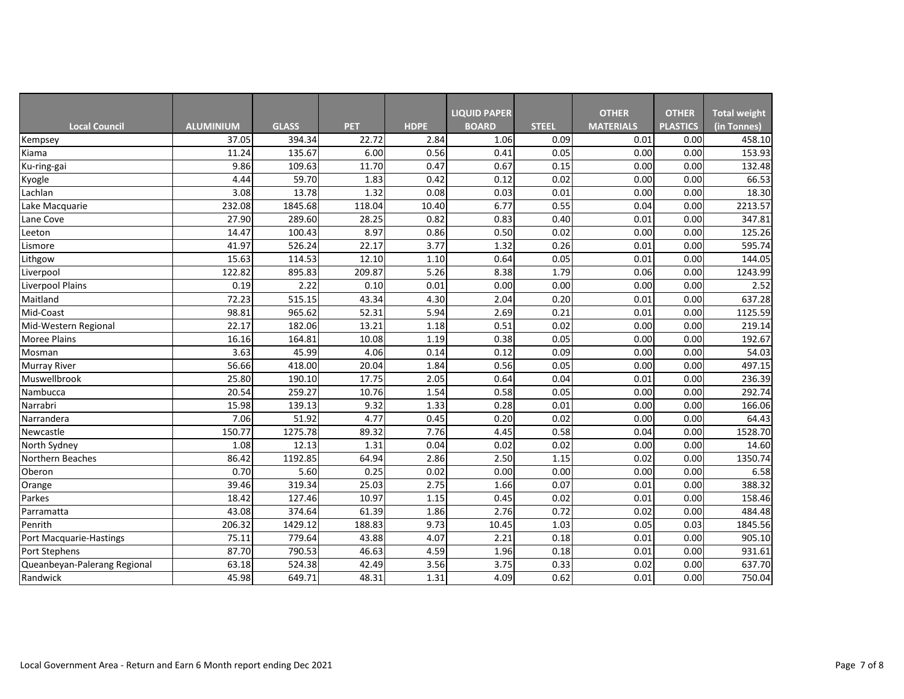|                              |                  |              |            |             | <b>LIQUID PAPER</b> |              | <b>OTHER</b>     | <b>OTHER</b>    | <b>Total weight</b> |
|------------------------------|------------------|--------------|------------|-------------|---------------------|--------------|------------------|-----------------|---------------------|
| <b>Local Council</b>         | <b>ALUMINIUM</b> | <b>GLASS</b> | <b>PET</b> | <b>HDPE</b> | <b>BOARD</b>        | <b>STEEL</b> | <b>MATERIALS</b> | <b>PLASTICS</b> | (in Tonnes)         |
| Kempsey                      | 37.05            | 394.34       | 22.72      | 2.84        | 1.06                | 0.09         | 0.01             | 0.00            | 458.10              |
| Kiama                        | 11.24            | 135.67       | 6.00       | 0.56        | 0.41                | 0.05         | 0.00             | 0.00            | 153.93              |
| Ku-ring-gai                  | 9.86             | 109.63       | 11.70      | 0.47        | 0.67                | 0.15         | 0.00             | 0.00            | 132.48              |
| Kyogle                       | 4.44             | 59.70        | 1.83       | 0.42        | 0.12                | 0.02         | 0.00             | 0.00            | 66.53               |
| Lachlan                      | 3.08             | 13.78        | 1.32       | 0.08        | 0.03                | 0.01         | 0.00             | 0.00            | 18.30               |
| Lake Macquarie               | 232.08           | 1845.68      | 118.04     | 10.40       | 6.77                | 0.55         | 0.04             | 0.00            | 2213.57             |
| Lane Cove                    | 27.90            | 289.60       | 28.25      | 0.82        | 0.83                | 0.40         | 0.01             | 0.00            | 347.81              |
| eeton                        | 14.47            | 100.43       | 8.97       | 0.86        | 0.50                | 0.02         | 0.00             | 0.00            | 125.26              |
| Lismore                      | 41.97            | 526.24       | 22.17      | 3.77        | 1.32                | 0.26         | 0.01             | 0.00            | 595.74              |
| Lithgow                      | 15.63            | 114.53       | 12.10      | 1.10        | 0.64                | 0.05         | 0.01             | 0.00            | 144.05              |
| Liverpool                    | 122.82           | 895.83       | 209.87     | 5.26        | 8.38                | 1.79         | 0.06             | 0.00            | 1243.99             |
| <b>Liverpool Plains</b>      | 0.19             | 2.22         | 0.10       | 0.01        | 0.00                | 0.00         | 0.00             | 0.00            | 2.52                |
| Maitland                     | 72.23            | 515.15       | 43.34      | 4.30        | 2.04                | 0.20         | 0.01             | 0.00            | 637.28              |
| Mid-Coast                    | 98.81            | 965.62       | 52.31      | 5.94        | 2.69                | 0.21         | 0.01             | 0.00            | 1125.59             |
| Mid-Western Regional         | 22.17            | 182.06       | 13.21      | 1.18        | 0.51                | 0.02         | 0.00             | 0.00            | 219.14              |
| <b>Moree Plains</b>          | 16.16            | 164.81       | 10.08      | 1.19        | 0.38                | 0.05         | 0.00             | 0.00            | 192.67              |
| Mosman                       | 3.63             | 45.99        | 4.06       | 0.14        | 0.12                | 0.09         | 0.00             | 0.00            | 54.03               |
| <b>Murray River</b>          | 56.66            | 418.00       | 20.04      | 1.84        | 0.56                | 0.05         | 0.00             | 0.00            | 497.15              |
| Muswellbrook                 | 25.80            | 190.10       | 17.75      | 2.05        | 0.64                | 0.04         | 0.01             | 0.00            | 236.39              |
| Nambucca                     | 20.54            | 259.27       | 10.76      | 1.54        | 0.58                | 0.05         | 0.00             | 0.00            | 292.74              |
| Narrabri                     | 15.98            | 139.13       | 9.32       | 1.33        | 0.28                | 0.01         | 0.00             | 0.00            | 166.06              |
| Narrandera                   | 7.06             | 51.92        | 4.77       | 0.45        | 0.20                | 0.02         | 0.00             | 0.00            | 64.43               |
| Newcastle                    | 150.77           | 1275.78      | 89.32      | 7.76        | 4.45                | 0.58         | 0.04             | 0.00            | 1528.70             |
| North Sydney                 | 1.08             | 12.13        | 1.31       | 0.04        | 0.02                | 0.02         | 0.00             | 0.00            | 14.60               |
| Northern Beaches             | 86.42            | 1192.85      | 64.94      | 2.86        | 2.50                | 1.15         | 0.02             | 0.00            | 1350.74             |
| Oberon                       | 0.70             | 5.60         | 0.25       | 0.02        | 0.00                | 0.00         | 0.00             | 0.00            | 6.58                |
| Orange                       | 39.46            | 319.34       | 25.03      | 2.75        | 1.66                | 0.07         | 0.01             | 0.00            | 388.32              |
| Parkes                       | 18.42            | 127.46       | 10.97      | 1.15        | 0.45                | 0.02         | 0.01             | 0.00            | 158.46              |
| Parramatta                   | 43.08            | 374.64       | 61.39      | 1.86        | 2.76                | 0.72         | 0.02             | 0.00            | 484.48              |
| Penrith                      | 206.32           | 1429.12      | 188.83     | 9.73        | 10.45               | 1.03         | 0.05             | 0.03            | 1845.56             |
| Port Macquarie-Hastings      | 75.11            | 779.64       | 43.88      | 4.07        | 2.21                | 0.18         | 0.01             | 0.00            | 905.10              |
| Port Stephens                | 87.70            | 790.53       | 46.63      | 4.59        | 1.96                | 0.18         | 0.01             | 0.00            | 931.61              |
| Queanbeyan-Palerang Regional | 63.18            | 524.38       | 42.49      | 3.56        | 3.75                | 0.33         | 0.02             | 0.00            | 637.70              |
| Randwick                     | 45.98            | 649.71       | 48.31      | 1.31        | 4.09                | 0.62         | 0.01             | 0.00            | 750.04              |